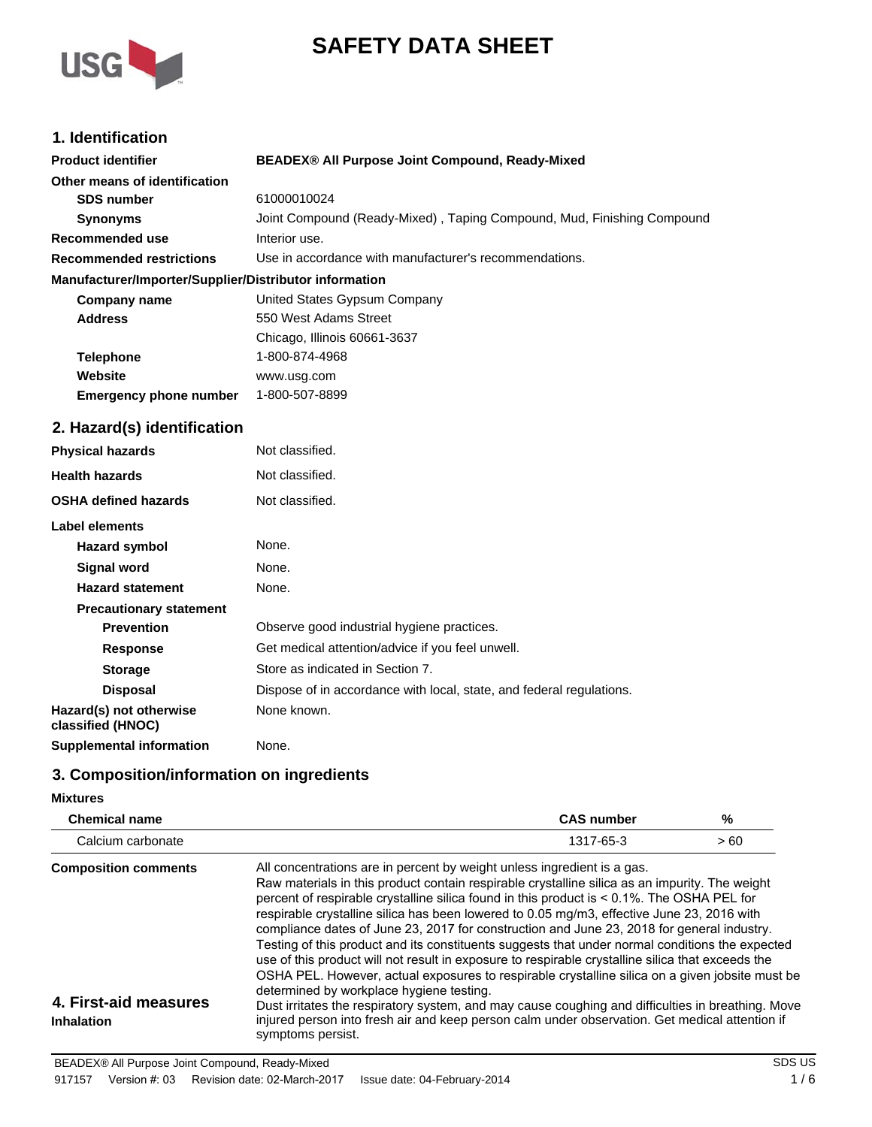



## **1. Identification**

| <b>Product identifier</b>                              | BEADEX® All Purpose Joint Compound, Ready-Mixed                        |
|--------------------------------------------------------|------------------------------------------------------------------------|
| Other means of identification                          |                                                                        |
| <b>SDS number</b>                                      | 61000010024                                                            |
| <b>Synonyms</b>                                        | Joint Compound (Ready-Mixed), Taping Compound, Mud, Finishing Compound |
| <b>Recommended use</b>                                 | Interior use.                                                          |
| <b>Recommended restrictions</b>                        | Use in accordance with manufacturer's recommendations.                 |
| Manufacturer/Importer/Supplier/Distributor information |                                                                        |
| <b>Company name</b>                                    | United States Gypsum Company                                           |
| <b>Address</b>                                         | 550 West Adams Street                                                  |
|                                                        | Chicago, Illinois 60661-3637                                           |
| <b>Telephone</b>                                       | 1-800-874-4968                                                         |
| Website                                                | www.usg.com                                                            |
| <b>Emergency phone number</b>                          | 1-800-507-8899                                                         |
| 2. Hazard(s) identification                            |                                                                        |
| <b>Physical hazards</b>                                | Not classified.                                                        |
| <b>Health hazards</b>                                  | Not classified.                                                        |
| <b>OSHA defined hazards</b>                            | Not classified.                                                        |
| <b>Label elements</b>                                  |                                                                        |
| <b>Hazard symbol</b>                                   | None.                                                                  |
| <b>Signal word</b>                                     | None.                                                                  |
| <b>Hazard statement</b>                                | None.                                                                  |
| <b>Precautionary statement</b>                         |                                                                        |
| <b>Prevention</b>                                      | Observe good industrial hygiene practices.                             |
| <b>Response</b>                                        | Get medical attention/advice if you feel unwell.                       |
| <b>Storage</b>                                         | Store as indicated in Section 7.                                       |
| <b>Disposal</b>                                        | Dispose of in accordance with local, state, and federal regulations.   |
| Hazard(s) not otherwise<br>classified (HNOC)           | None known.                                                            |
| <b>Supplemental information</b>                        | None.                                                                  |

# **3. Composition/information on ingredients**

### **Mixtures**

| <b>Chemical name</b>                                                      | <b>CAS number</b>                                                                                                                                                                                                                                                                                                                                                                                                                                                                                                                                                                                                                                                                                                                                                                                                                                                                                                                                                                                                                                      | %   |
|---------------------------------------------------------------------------|--------------------------------------------------------------------------------------------------------------------------------------------------------------------------------------------------------------------------------------------------------------------------------------------------------------------------------------------------------------------------------------------------------------------------------------------------------------------------------------------------------------------------------------------------------------------------------------------------------------------------------------------------------------------------------------------------------------------------------------------------------------------------------------------------------------------------------------------------------------------------------------------------------------------------------------------------------------------------------------------------------------------------------------------------------|-----|
| Calcium carbonate                                                         | 1317-65-3                                                                                                                                                                                                                                                                                                                                                                                                                                                                                                                                                                                                                                                                                                                                                                                                                                                                                                                                                                                                                                              | >60 |
| <b>Composition comments</b><br>4. First-aid measures<br><b>Inhalation</b> | All concentrations are in percent by weight unless ingredient is a gas.<br>Raw materials in this product contain respirable crystalline silica as an impurity. The weight<br>percent of respirable crystalline silica found in this product is < 0.1%. The OSHA PEL for<br>respirable crystalline silica has been lowered to 0.05 mg/m3, effective June 23, 2016 with<br>compliance dates of June 23, 2017 for construction and June 23, 2018 for general industry.<br>Testing of this product and its constituents suggests that under normal conditions the expected<br>use of this product will not result in exposure to respirable crystalline silica that exceeds the<br>OSHA PEL. However, actual exposures to respirable crystalline silica on a given jobsite must be<br>determined by workplace hygiene testing.<br>Dust irritates the respiratory system, and may cause coughing and difficulties in breathing. Move<br>injured person into fresh air and keep person calm under observation. Get medical attention if<br>symptoms persist. |     |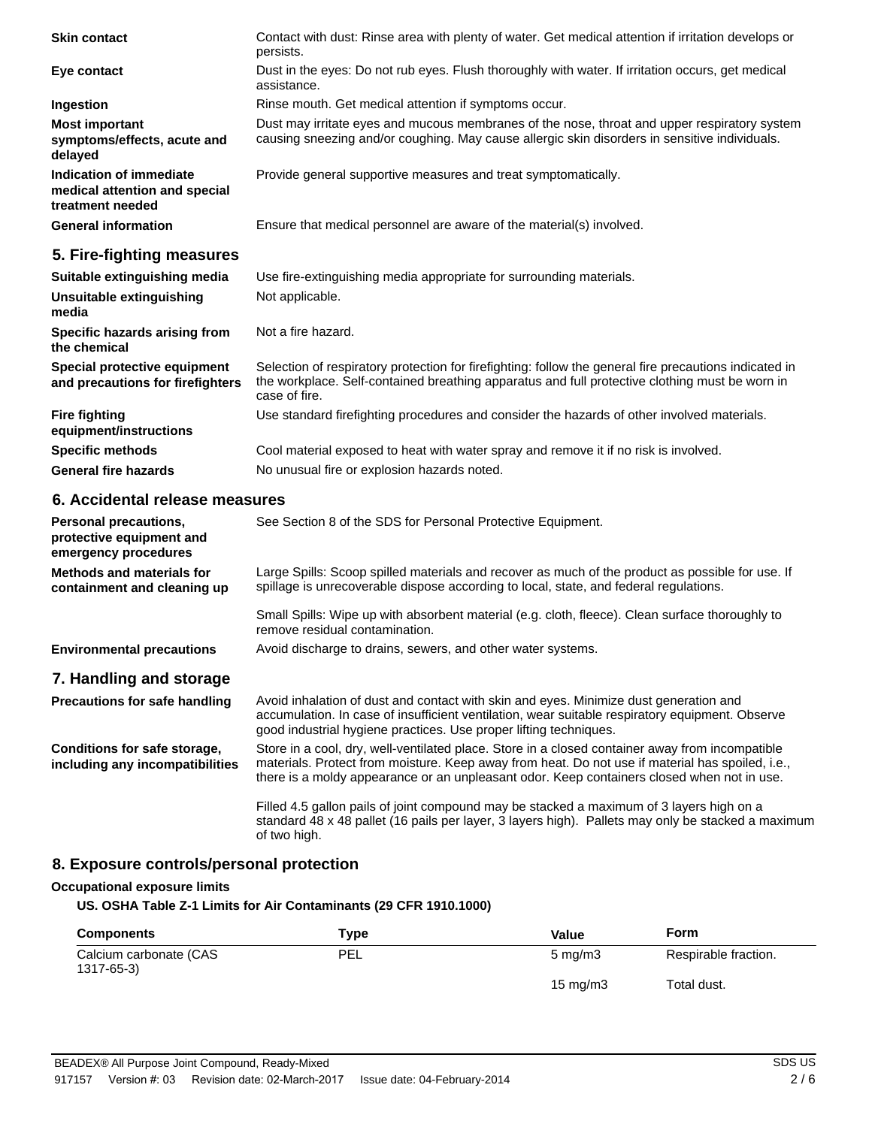| <b>Skin contact</b>                                                                 | Contact with dust: Rinse area with plenty of water. Get medical attention if irritation develops or<br>persists.                                                                                                          |
|-------------------------------------------------------------------------------------|---------------------------------------------------------------------------------------------------------------------------------------------------------------------------------------------------------------------------|
| Eye contact                                                                         | Dust in the eyes: Do not rub eyes. Flush thoroughly with water. If irritation occurs, get medical<br>assistance.                                                                                                          |
| Ingestion                                                                           | Rinse mouth. Get medical attention if symptoms occur.                                                                                                                                                                     |
| <b>Most important</b><br>symptoms/effects, acute and<br>delayed                     | Dust may irritate eyes and mucous membranes of the nose, throat and upper respiratory system<br>causing sneezing and/or coughing. May cause allergic skin disorders in sensitive individuals.                             |
| <b>Indication of immediate</b><br>medical attention and special<br>treatment needed | Provide general supportive measures and treat symptomatically.                                                                                                                                                            |
| <b>General information</b>                                                          | Ensure that medical personnel are aware of the material(s) involved.                                                                                                                                                      |
| 5. Fire-fighting measures                                                           |                                                                                                                                                                                                                           |
| Suitable extinguishing media                                                        | Use fire-extinguishing media appropriate for surrounding materials.                                                                                                                                                       |
| Unsuitable extinguishing<br>media                                                   | Not applicable.                                                                                                                                                                                                           |
| Specific hazards arising from<br>the chemical                                       | Not a fire hazard.                                                                                                                                                                                                        |
| Special protective equipment<br>and precautions for firefighters                    | Selection of respiratory protection for firefighting: follow the general fire precautions indicated in<br>the workplace. Self-contained breathing apparatus and full protective clothing must be worn in<br>case of fire. |
| <b>Fire fighting</b><br>equipment/instructions                                      | Use standard firefighting procedures and consider the hazards of other involved materials.                                                                                                                                |
| <b>Specific methods</b>                                                             | Cool material exposed to heat with water spray and remove it if no risk is involved.                                                                                                                                      |
| <b>General fire hazards</b>                                                         | No unusual fire or explosion hazards noted.                                                                                                                                                                               |
| 6. Accidental release measures                                                      |                                                                                                                                                                                                                           |
| <b>Personal precautions,</b><br>protective equipment and<br>emergency procedures    | See Section 8 of the SDS for Personal Protective Equipment.                                                                                                                                                               |
| <b>Methods and materials for</b><br>containment and cleaning up                     | Large Spills: Scoop spilled materials and recover as much of the product as possible for use. If<br>spillage is unrecoverable dispose according to local, state, and federal regulations.                                 |
|                                                                                     | Small Spills: Wipe up with absorbent material (e.g. cloth, fleece). Clean surface thoroughly to<br>remove residual contamination.                                                                                         |

### **Environmental precautions** Avoid discharge to drains, sewers, and other water systems.

### **7. Handling and storage**

Avoid inhalation of dust and contact with skin and eyes. Minimize dust generation and accumulation. In case of insufficient ventilation, wear suitable respiratory equipment. Observe good industrial hygiene practices. Use proper lifting techniques. **Precautions for safe handling**

Store in a cool, dry, well-ventilated place. Store in a closed container away from incompatible materials. Protect from moisture. Keep away from heat. Do not use if material has spoiled, i.e., there is a moldy appearance or an unpleasant odor. Keep containers closed when not in use. **Conditions for safe storage, including any incompatibilities**

> Filled 4.5 gallon pails of joint compound may be stacked a maximum of 3 layers high on a standard 48 x 48 pallet (16 pails per layer, 3 layers high). Pallets may only be stacked a maximum of two high.

### **8. Exposure controls/personal protection**

#### **Occupational exposure limits**

#### **US. OSHA Table Z-1 Limits for Air Contaminants (29 CFR 1910.1000)**

| <b>Components</b>                    | Type       | Value            | Form                 |
|--------------------------------------|------------|------------------|----------------------|
| Calcium carbonate (CAS<br>1317-65-3) | <b>PEL</b> | $5 \text{ mg/m}$ | Respirable fraction. |
|                                      |            | 15 mg/m $3$      | Total dust.          |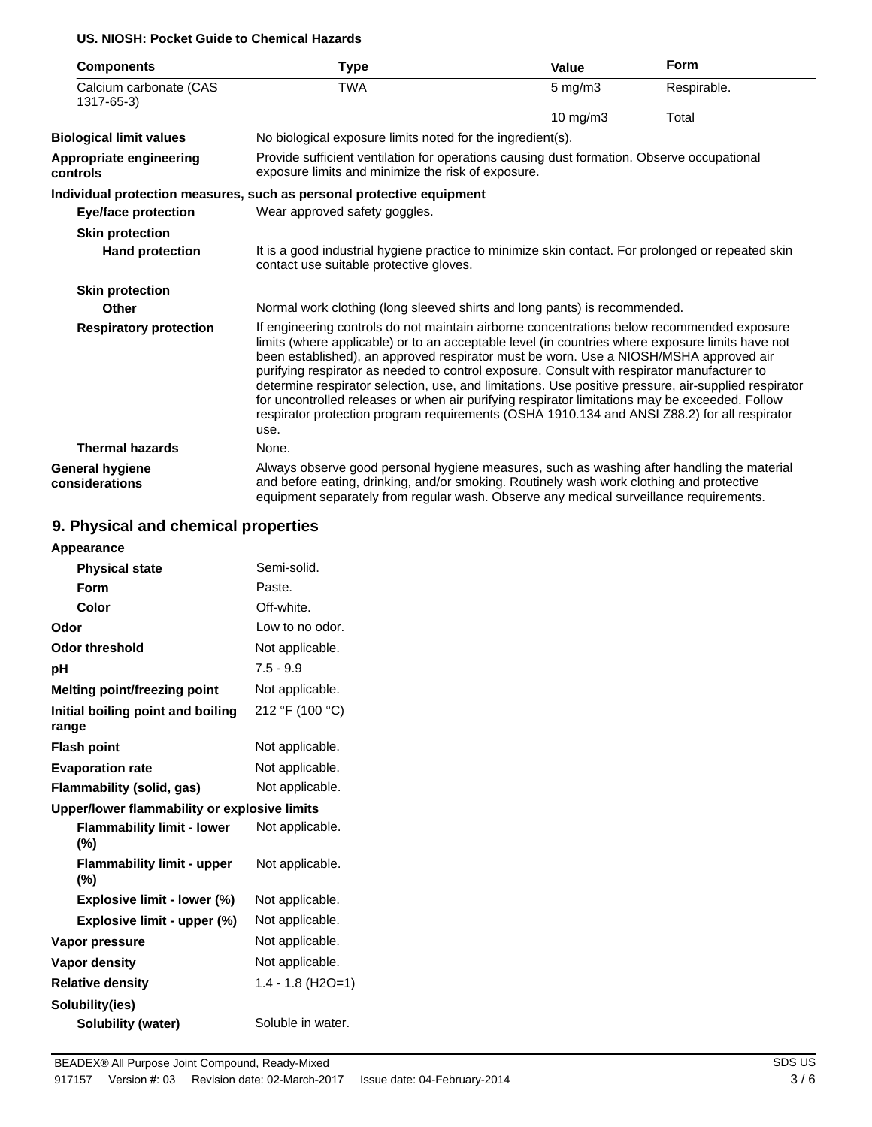### **US. NIOSH: Pocket Guide to Chemical Hazards**

| <b>Components</b>                        | Type                                                                                                                                                                                                                                                                                                                                                                                                                                                                                                                                                                                                                                                                                                     | Value              | Form        |
|------------------------------------------|----------------------------------------------------------------------------------------------------------------------------------------------------------------------------------------------------------------------------------------------------------------------------------------------------------------------------------------------------------------------------------------------------------------------------------------------------------------------------------------------------------------------------------------------------------------------------------------------------------------------------------------------------------------------------------------------------------|--------------------|-------------|
| Calcium carbonate (CAS<br>1317-65-3)     | <b>TWA</b>                                                                                                                                                                                                                                                                                                                                                                                                                                                                                                                                                                                                                                                                                               | $5 \text{ mg/m}$ 3 | Respirable. |
|                                          |                                                                                                                                                                                                                                                                                                                                                                                                                                                                                                                                                                                                                                                                                                          | 10 mg/m3           | Total       |
| <b>Biological limit values</b>           | No biological exposure limits noted for the ingredient(s).                                                                                                                                                                                                                                                                                                                                                                                                                                                                                                                                                                                                                                               |                    |             |
| Appropriate engineering<br>controls      | Provide sufficient ventilation for operations causing dust formation. Observe occupational<br>exposure limits and minimize the risk of exposure.                                                                                                                                                                                                                                                                                                                                                                                                                                                                                                                                                         |                    |             |
|                                          | Individual protection measures, such as personal protective equipment                                                                                                                                                                                                                                                                                                                                                                                                                                                                                                                                                                                                                                    |                    |             |
| <b>Eye/face protection</b>               | Wear approved safety goggles.                                                                                                                                                                                                                                                                                                                                                                                                                                                                                                                                                                                                                                                                            |                    |             |
| <b>Skin protection</b>                   |                                                                                                                                                                                                                                                                                                                                                                                                                                                                                                                                                                                                                                                                                                          |                    |             |
| <b>Hand protection</b>                   | It is a good industrial hygiene practice to minimize skin contact. For prolonged or repeated skin<br>contact use suitable protective gloves.                                                                                                                                                                                                                                                                                                                                                                                                                                                                                                                                                             |                    |             |
| <b>Skin protection</b>                   |                                                                                                                                                                                                                                                                                                                                                                                                                                                                                                                                                                                                                                                                                                          |                    |             |
| Other                                    | Normal work clothing (long sleeved shirts and long pants) is recommended.                                                                                                                                                                                                                                                                                                                                                                                                                                                                                                                                                                                                                                |                    |             |
| <b>Respiratory protection</b>            | If engineering controls do not maintain airborne concentrations below recommended exposure<br>limits (where applicable) or to an acceptable level (in countries where exposure limits have not<br>been established), an approved respirator must be worn. Use a NIOSH/MSHA approved air<br>purifying respirator as needed to control exposure. Consult with respirator manufacturer to<br>determine respirator selection, use, and limitations. Use positive pressure, air-supplied respirator<br>for uncontrolled releases or when air purifying respirator limitations may be exceeded. Follow<br>respirator protection program requirements (OSHA 1910.134 and ANSI Z88.2) for all respirator<br>use. |                    |             |
| <b>Thermal hazards</b>                   | None.                                                                                                                                                                                                                                                                                                                                                                                                                                                                                                                                                                                                                                                                                                    |                    |             |
| <b>General hygiene</b><br>considerations | Always observe good personal hygiene measures, such as washing after handling the material<br>and before eating, drinking, and/or smoking. Routinely wash work clothing and protective<br>equipment separately from regular wash. Observe any medical surveillance requirements.                                                                                                                                                                                                                                                                                                                                                                                                                         |                    |             |

# **9. Physical and chemical properties**

| Appearance                                   |                     |
|----------------------------------------------|---------------------|
| <b>Physical state</b>                        | Semi-solid.         |
| Form                                         | Paste.              |
| Color                                        | Off-white.          |
| Odor                                         | Low to no odor.     |
| Odor threshold                               | Not applicable.     |
| рH                                           | $7.5 - 9.9$         |
| <b>Melting point/freezing point</b>          | Not applicable.     |
| Initial boiling point and boiling<br>range   | 212 °F (100 °C)     |
| <b>Flash point</b>                           | Not applicable.     |
| <b>Evaporation rate</b>                      | Not applicable.     |
| Flammability (solid, gas)                    | Not applicable.     |
| Upper/lower flammability or explosive limits |                     |
| <b>Flammability limit - lower</b><br>$(\% )$ | Not applicable.     |
| <b>Flammability limit - upper</b><br>$(\% )$ | Not applicable.     |
| Explosive limit - lower (%)                  | Not applicable.     |
| Explosive limit - upper (%)                  | Not applicable.     |
| Vapor pressure                               | Not applicable.     |
| Vapor density                                | Not applicable.     |
| <b>Relative density</b>                      | $1.4 - 1.8$ (H2O=1) |
| Solubility(ies)                              |                     |
| <b>Solubility (water)</b>                    | Soluble in water.   |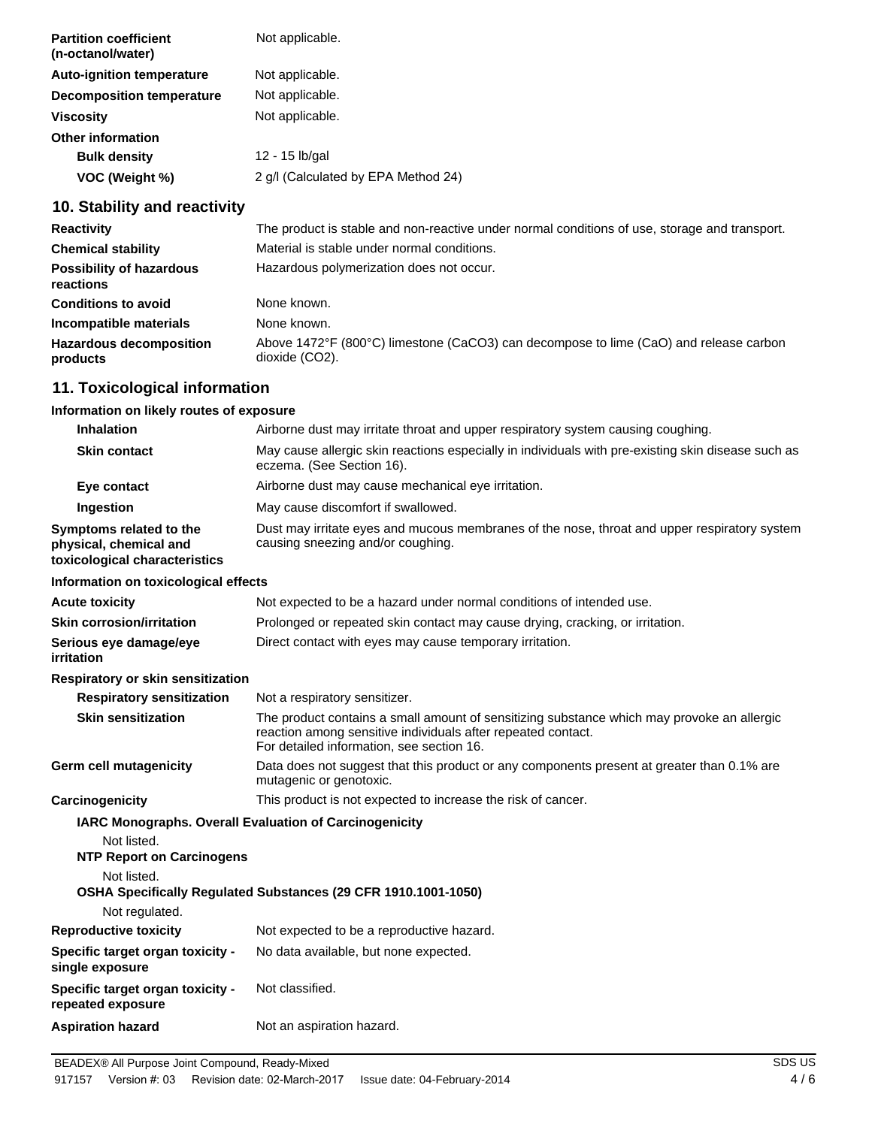| <b>Partition coefficient</b><br>(n-octanol/water) | Not applicable.                     |
|---------------------------------------------------|-------------------------------------|
| <b>Auto-ignition temperature</b>                  | Not applicable.                     |
| <b>Decomposition temperature</b>                  | Not applicable.                     |
| <b>Viscosity</b>                                  | Not applicable.                     |
| <b>Other information</b>                          |                                     |
| <b>Bulk density</b>                               | 12 - 15 lb/gal                      |
| VOC (Weight %)                                    | 2 g/l (Calculated by EPA Method 24) |
|                                                   |                                     |

# **10. Stability and reactivity**

| <b>Reactivity</b>                            | The product is stable and non-reactive under normal conditions of use, storage and transport.           |
|----------------------------------------------|---------------------------------------------------------------------------------------------------------|
| <b>Chemical stability</b>                    | Material is stable under normal conditions.                                                             |
| <b>Possibility of hazardous</b><br>reactions | Hazardous polymerization does not occur.                                                                |
| <b>Conditions to avoid</b>                   | None known.                                                                                             |
| Incompatible materials                       | None known.                                                                                             |
| <b>Hazardous decomposition</b><br>products   | Above 1472°F (800°C) limestone (CaCO3) can decompose to lime (CaO) and release carbon<br>dioxide (CO2). |

## **11. Toxicological information**

### **Information on likely routes of exposure**

| <b>Inhalation</b>                                                                  | Airborne dust may irritate throat and upper respiratory system causing coughing.                                                                                                                        |
|------------------------------------------------------------------------------------|---------------------------------------------------------------------------------------------------------------------------------------------------------------------------------------------------------|
| <b>Skin contact</b>                                                                | May cause allergic skin reactions especially in individuals with pre-existing skin disease such as<br>eczema. (See Section 16).                                                                         |
| Eye contact                                                                        | Airborne dust may cause mechanical eye irritation.                                                                                                                                                      |
| Ingestion                                                                          | May cause discomfort if swallowed.                                                                                                                                                                      |
| Symptoms related to the<br>physical, chemical and<br>toxicological characteristics | Dust may irritate eyes and mucous membranes of the nose, throat and upper respiratory system<br>causing sneezing and/or coughing.                                                                       |
| Information on toxicological effects                                               |                                                                                                                                                                                                         |
| Acute toxicity                                                                     | Not expected to be a hazard under normal conditions of intended use.                                                                                                                                    |
| Skin corrosion/irritation                                                          | Prolonged or repeated skin contact may cause drying, cracking, or irritation.                                                                                                                           |
| Serious eye damage/eye<br>irritation                                               | Direct contact with eyes may cause temporary irritation.                                                                                                                                                |
| Respiratory or skin sensitization                                                  |                                                                                                                                                                                                         |
| <b>Respiratory sensitization</b>                                                   | Not a respiratory sensitizer.                                                                                                                                                                           |
| <b>Skin sensitization</b>                                                          | The product contains a small amount of sensitizing substance which may provoke an allergic<br>reaction among sensitive individuals after repeated contact.<br>For detailed information, see section 16. |
| Germ cell mutagenicity                                                             | Data does not suggest that this product or any components present at greater than 0.1% are<br>mutagenic or genotoxic.                                                                                   |
| Carcinogenicity                                                                    | This product is not expected to increase the risk of cancer.                                                                                                                                            |
| Not listed.<br><b>NTP Report on Carcinogens</b><br>Not listed.                     | <b>IARC Monographs. Overall Evaluation of Carcinogenicity</b>                                                                                                                                           |
| Not regulated.                                                                     | OSHA Specifically Regulated Substances (29 CFR 1910.1001-1050)                                                                                                                                          |
| <b>Reproductive toxicity</b>                                                       | Not expected to be a reproductive hazard.                                                                                                                                                               |
| <b>Specific target organ toxicity -</b><br>single exposure                         | No data available, but none expected.                                                                                                                                                                   |
| <b>Specific target organ toxicity -</b><br>repeated exposure                       | Not classified.                                                                                                                                                                                         |
| <b>Aspiration hazard</b>                                                           | Not an aspiration hazard.                                                                                                                                                                               |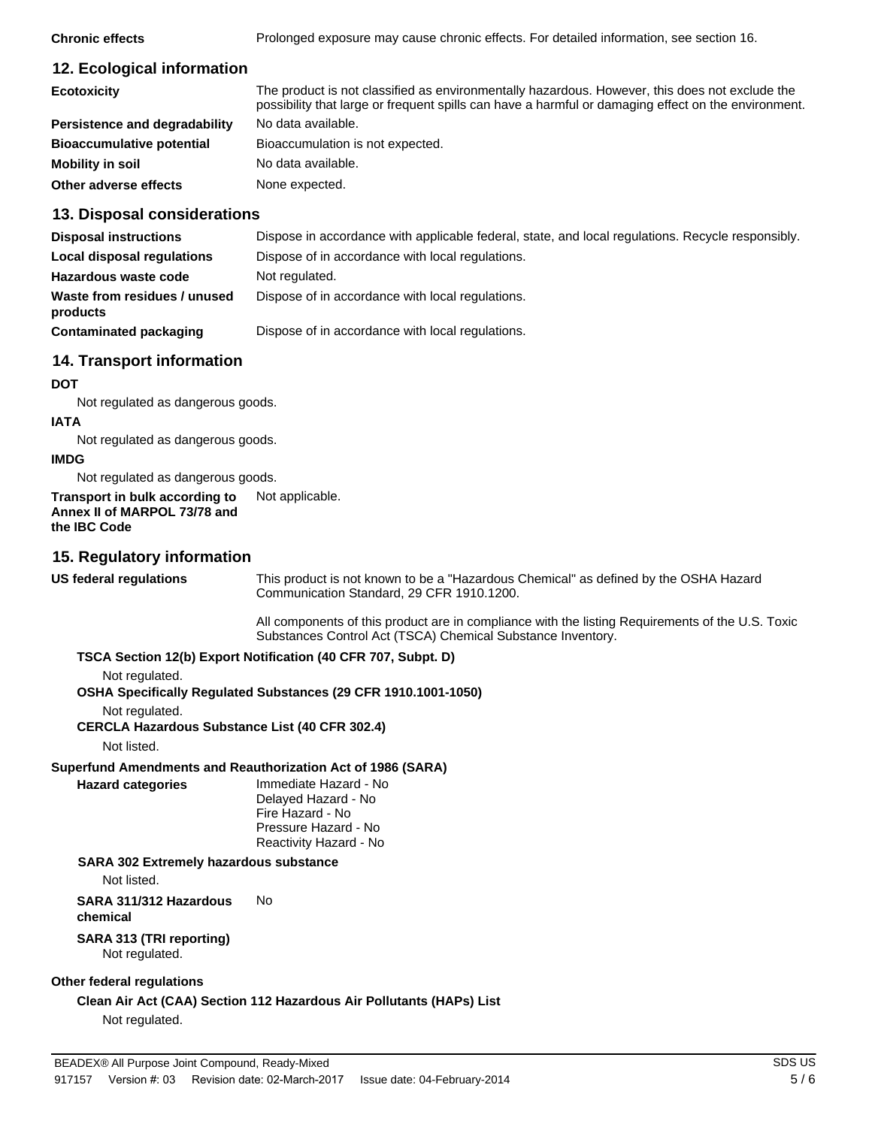**Chronic effects** Prolonged exposure may cause chronic effects. For detailed information, see section 16.

# **12. Ecological information**

| <b>Ecotoxicity</b>               | The product is not classified as environmentally hazardous. However, this does not exclude the<br>possibility that large or frequent spills can have a harmful or damaging effect on the environment. |
|----------------------------------|-------------------------------------------------------------------------------------------------------------------------------------------------------------------------------------------------------|
| Persistence and degradability    | No data available.                                                                                                                                                                                    |
| <b>Bioaccumulative potential</b> | Bioaccumulation is not expected.                                                                                                                                                                      |
| Mobility in soil                 | No data available.                                                                                                                                                                                    |
| Other adverse effects            | None expected.                                                                                                                                                                                        |

### **13. Disposal considerations**

| <b>Disposal instructions</b>             | Dispose in accordance with applicable federal, state, and local regulations. Recycle responsibly. |
|------------------------------------------|---------------------------------------------------------------------------------------------------|
| Local disposal regulations               | Dispose of in accordance with local regulations.                                                  |
| Hazardous waste code                     | Not regulated.                                                                                    |
| Waste from residues / unused<br>products | Dispose of in accordance with local regulations.                                                  |
| Contaminated packaging                   | Dispose of in accordance with local regulations.                                                  |

## **14. Transport information**

**DOT**

Not regulated as dangerous goods.

### **IATA**

Not regulated as dangerous goods.

## **IMDG**

Not regulated as dangerous goods.

#### **Transport in bulk according to** Not applicable. **Annex II of MARPOL 73/78 and the IBC Code**

## **15. Regulatory information**

**US federal regulations**

This product is not known to be a "Hazardous Chemical" as defined by the OSHA Hazard Communication Standard, 29 CFR 1910.1200.

All components of this product are in compliance with the listing Requirements of the U.S. Toxic Substances Control Act (TSCA) Chemical Substance Inventory.

### **TSCA Section 12(b) Export Notification (40 CFR 707, Subpt. D)**

Not regulated.

**OSHA Specifically Regulated Substances (29 CFR 1910.1001-1050)**

Not regulated.

**CERCLA Hazardous Substance List (40 CFR 302.4)**

Not listed.

**Hazard categories**

### **Superfund Amendments and Reauthorization Act of 1986 (SARA)**

Immediate Hazard - No Delayed Hazard - No Fire Hazard - No Pressure Hazard - No Reactivity Hazard - No

### **SARA 302 Extremely hazardous substance**

Not listed.

**SARA 311/312 Hazardous** No **chemical**

#### **SARA 313 (TRI reporting)** Not regulated.

### **Other federal regulations**

**Clean Air Act (CAA) Section 112 Hazardous Air Pollutants (HAPs) List** Not regulated.